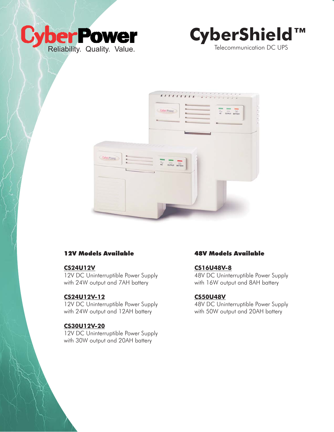





# 12V Models Available

#### **CS24U12V**

12V DC Uninterruptible Power Supply with 24W output and 7AH battery

### **CS24U12V-12**

12V DC Uninterruptible Power Supply with 24W output and 12AH battery

# **CS30U12V-20**

12V DC Uninterruptible Power Supply with 30W output and 20AH battery

## 48V Models Available

### **CS16U48V-8**

48V DC Uninterruptible Power Supply with 16W output and 8AH battery

#### **CS50U48V**

48V DC Uninterruptible Power Supply with 50W output and 20AH battery